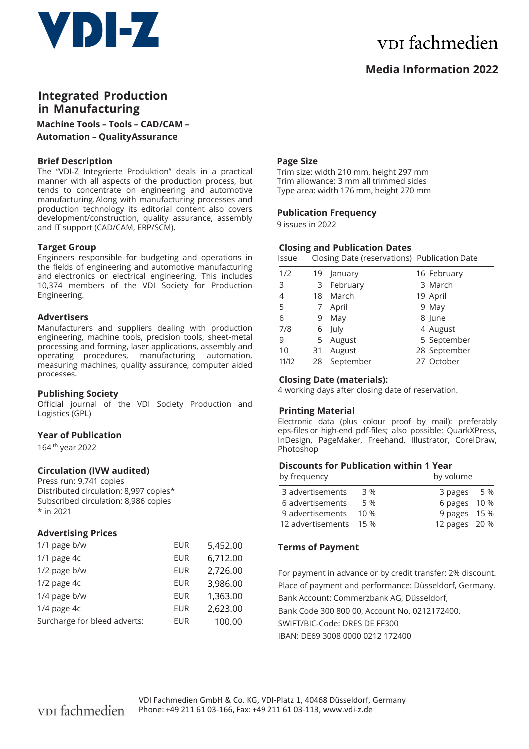

# v<sub>DI</sub> fachmedien

### **Media Information 2022**

## **Integrated Production in Manufacturing**

**Machine Tools – Tools – CAD/CAM – Automation – Quality Assurance**

#### **Brief Description**

The "VDI-Z Integrierte Produktion" deals in a practical manner with all aspects of the production process, but tends to concentrate on engineering and automotive manufacturing. Along with manufacturing processes and production technology its editorial content also covers development/construction, quality assurance, assembly and IT support (CAD/CAM, ERP/SCM).

#### **Target Group**

Engineers responsible for budgeting and operations in the fields of engineering and automotive manufacturing and electronics or electrical engineering. This includes 10,374 members of the VDI Society for Production Engineering.

#### **Advertisers**

Manufacturers and suppliers dealing with production engineering, machine tools, precision tools, sheet-metal processing and forming, laser applications, assembly and operating procedures, manufacturing automation, measuring machines, quality assurance, computer aided processes.

#### **Publishing Society**

Official journal of the VDI Society Production and Logistics (GPL)

#### **Year of Publication**

164 th year 2022

#### **Circulation (IVW audited)**

Press run: 9,741 copies Distributed circulation: 8,997 copies\* Subscribed circulation: 8,986 copies \* in 2021

#### **Advertising Prices**

| 1/1 page b/w                 | <b>EUR</b> | 5,452.00 |
|------------------------------|------------|----------|
| $1/1$ page $4c$              | <b>EUR</b> | 6,712.00 |
| 1/2 page b/w                 | EUR        | 2,726.00 |
| 1/2 page 4c                  | <b>EUR</b> | 3,986.00 |
| 1/4 page b/w                 | <b>EUR</b> | 1,363.00 |
| 1/4 page 4c                  | EUR        | 2,623.00 |
| Surcharge for bleed adverts: | <b>EUR</b> | 100.00   |

#### **Page Size**

Trim size: width 210 mm, height 297 mm Trim allowance: 3 mm all trimmed sides Type area: width 176 mm, height 270 mm

#### **Publication Frequency**

9 issues in 2022

#### **Closing and Publication Dates**

Issue Closing Date (reservations) Publication Date

| 1/2   |    | 19 January | 16 February  |
|-------|----|------------|--------------|
| 3     | 3  | February   | 3 March      |
| 4     | 18 | March      | 19 April     |
| 5     | 7  | April      | 9 May        |
| 6     | 9  | May        | 8 June       |
| 7/8   |    | 6 July     | 4 August     |
| 9     |    | 5 August   | 5 September  |
| 10    | 31 | August     | 28 September |
| 11/12 | 28 | September  | 27 October   |

#### **Closing Date (materials):**

4 working days after closing date of reservation.

#### **Printing Material**

Electronic data (plus colour proof by mail): preferably eps-files or high-end pdf-files; also possible: QuarkXPress, InDesign, PageMaker, Freehand, Illustrator, CorelDraw, Photoshop

#### **Discounts for Publication within 1 Year**

| by frequency           |      | by volume     |
|------------------------|------|---------------|
| 3 advertisements       | 3 %  | 3 pages 5 %   |
| 6 advertisements       | 5 %  | 6 pages 10 %  |
| 9 advertisements       | 10 % | 9 pages 15 %  |
| 12 advertisements 15 % |      | 12 pages 20 % |

#### **Terms of Payment**

For payment in advance or by credit transfer: 2% discount. Place of payment and performance: Düsseldorf, Germany. Bank Account: Commerzbank AG, Düsseldorf, Bank Code 300 800 00, Account No. 0212172400. SWIFT/BIC-Code: DRES DE FF300 IBAN: DE69 3008 0000 0212 172400